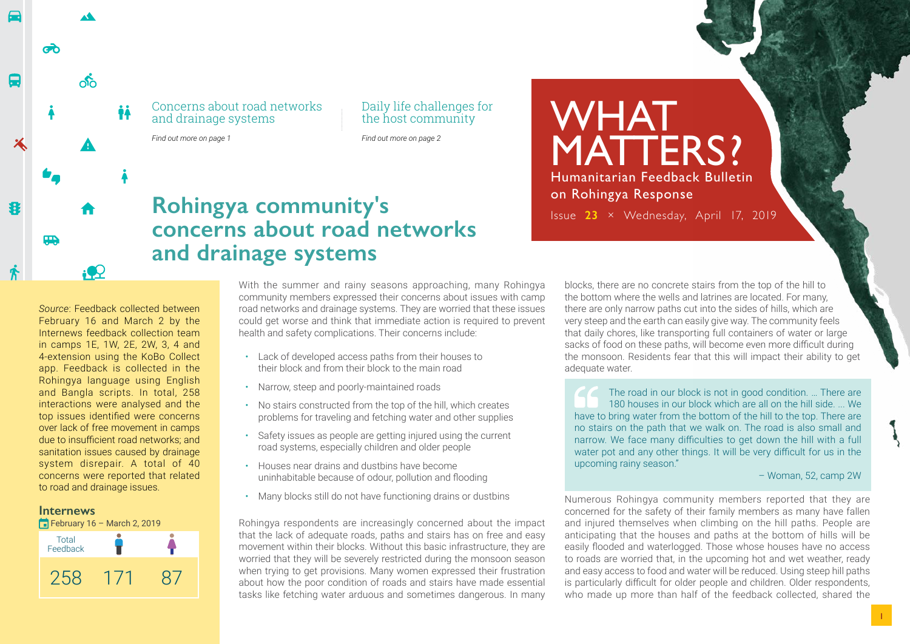Concerns about road networks and drainage systems

*Find out more on page 1*

Daily life challenges for the host community

*Find out more on page 2*

## **Rohingya community's concerns about road networks and drainage systems**

*Source*: Feedback collected between February 16 and March 2 by the Internews feedback collection team in camps 1E, 1W, 2E, 2W, 3, 4 and 4-extension using the KoBo Collect app. Feedback is collected in the Rohingya language using English and Bangla scripts. In total, 258 interactions were analysed and the top issues identified were concerns over lack of free movement in camps due to insufficient road networks; and sanitation issues caused by drainage system disrepair. A total of 40 concerns were reported that related to road and drainage issues.

### **Internews**

ൽ

**The Second** 

ക്

İÅ





With the summer and rainy seasons approaching, many Rohingya community members expressed their concerns about issues with camp road networks and drainage systems. They are worried that these issues could get worse and think that immediate action is required to prevent health and safety complications. Their concerns include:

- Lack of developed access paths from their houses to their block and from their block to the main road
- Narrow, steep and poorly-maintained roads
- No stairs constructed from the top of the hill, which creates problems for traveling and fetching water and other supplies
- Safety issues as people are getting injured using the current road systems, especially children and older people
- Houses near drains and dustbins have become uninhabitable because of odour, pollution and flooding
- Many blocks still do not have functioning drains or dustbins

Rohingya respondents are increasingly concerned about the impact that the lack of adequate roads, paths and stairs has on free and easy movement within their blocks. Without this basic infrastructure, they are worried that they will be severely restricted during the monsoon season when trying to get provisions. Many women expressed their frustration about how the poor condition of roads and stairs have made essential tasks like fetching water arduous and sometimes dangerous. In many

blocks, there are no concrete stairs from the top of the hill to the bottom where the wells and latrines are located. For many, there are only narrow paths cut into the sides of hills, which are very steep and the earth can easily give way. The community feels that daily chores, like transporting full containers of water or large sacks of food on these paths, will become even more difficult during the monsoon. Residents fear that this will impact their ability to get adequate water.

**WHAT** 

on Rohingya Response

MATTERS?

Humanitarian Feedback Bulletin

Issue **23** × Wednesday, April 17, 2019

The road in our block is not in good condition. … There are 180 houses in our block which are all on the hill side. ... We have to bring water from the bottom of the hill to the top. There are no stairs on the path that we walk on. The road is also small and narrow. We face many difficulties to get down the hill with a full water pot and any other things. It will be very difficult for us in the upcoming rainy season."

– Woman, 52, camp 2W

Numerous Rohingya community members reported that they are concerned for the safety of their family members as many have fallen and injured themselves when climbing on the hill paths. People are anticipating that the houses and paths at the bottom of hills will be easily flooded and waterlogged. Those whose houses have no access to roads are worried that, in the upcoming hot and wet weather, ready and easy access to food and water will be reduced. Using steep hill paths is particularly difficult for older people and children. Older respondents, who made up more than half of the feedback collected, shared the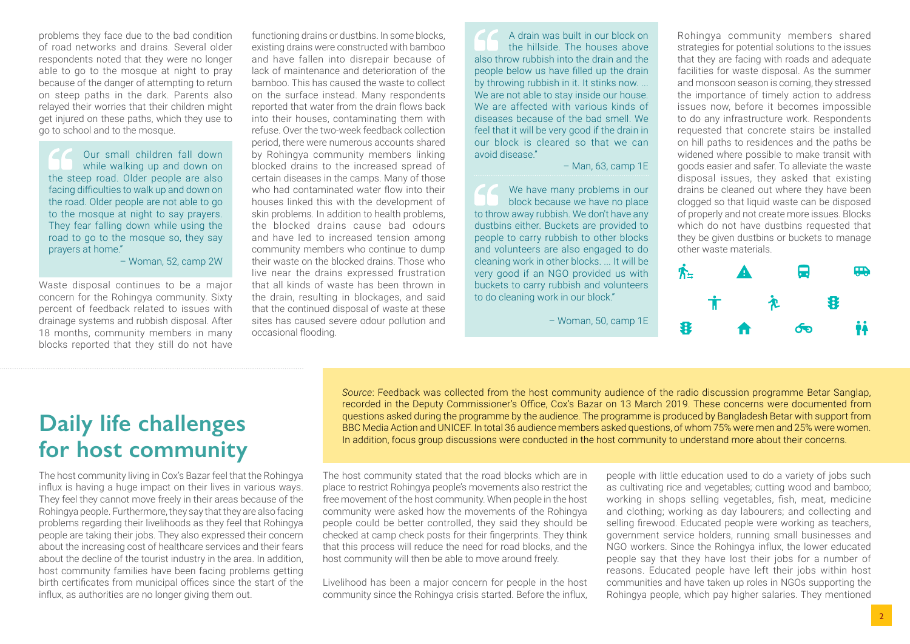problems they face due to the bad condition of road networks and drains. Several older respondents noted that they were no longer able to go to the mosque at night to pray because of the danger of attempting to return on steep paths in the dark. Parents also relayed their worries that their children might get injured on these paths, which they use to go to school and to the mosque.

Our small children fall down while walking up and down on the steep road. Older people are also facing difficulties to walk up and down on the road. Older people are not able to go to the mosque at night to say prayers. They fear falling down while using the road to go to the mosque so, they say prayers at home."

– Woman, 52, camp 2W

Waste disposal continues to be a major concern for the Rohingya community. Sixty percent of feedback related to issues with drainage systems and rubbish disposal. After 18 months, community members in many blocks reported that they still do not have

functioning drains or dustbins. In some blocks, existing drains were constructed with bamboo and have fallen into disrepair because of lack of maintenance and deterioration of the bamboo. This has caused the waste to collect on the surface instead. Many respondents reported that water from the drain flows back into their houses, contaminating them with refuse. Over the two-week feedback collection period, there were numerous accounts shared by Rohingya community members linking blocked drains to the increased spread of certain diseases in the camps. Many of those who had contaminated water flow into their houses linked this with the development of skin problems. In addition to health problems, the blocked drains cause bad odours and have led to increased tension among community members who continue to dump their waste on the blocked drains. Those who live near the drains expressed frustration that all kinds of waste has been thrown in the drain, resulting in blockages, and said that the continued disposal of waste at these sites has caused severe odour pollution and occasional flooding.

A drain was built in our block on the hillside. The houses above also throw rubbish into the drain and the people below us have filled up the drain by throwing rubbish in it. It stinks now. ... We are not able to stay inside our house. We are affected with various kinds of diseases because of the bad smell. We feel that it will be very good if the drain in our block is cleared so that we can avoid disease."

#### – Man, 63, camp 1E

We have many problems in our block because we have no place to throw away rubbish. We don't have any dustbins either. Buckets are provided to people to carry rubbish to other blocks and volunteers are also engaged to do cleaning work in other blocks. ... It will be very good if an NGO provided us with buckets to carry rubbish and volunteers to do cleaning work in our block."

– Woman, 50, camp 1E

Rohingya community members shared strategies for potential solutions to the issues that they are facing with roads and adequate facilities for waste disposal. As the summer and monsoon season is coming, they stressed the importance of timely action to address issues now, before it becomes impossible to do any infrastructure work. Respondents requested that concrete stairs be installed on hill paths to residences and the paths be widened where possible to make transit with goods easier and safer. To alleviate the waste disposal issues, they asked that existing drains be cleaned out where they have been clogged so that liquid waste can be disposed of properly and not create more issues. Blocks which do not have dustbins requested that they be given dustbins or buckets to manage other waste materials.



# **Daily life challenges for host community**

The host community living in Cox's Bazar feel that the Rohingya influx is having a huge impact on their lives in various ways. They feel they cannot move freely in their areas because of the Rohingya people. Furthermore, they say that they are also facing problems regarding their livelihoods as they feel that Rohingya people are taking their jobs. They also expressed their concern about the increasing cost of healthcare services and their fears about the decline of the tourist industry in the area. In addition, host community families have been facing problems getting birth certificates from municipal offices since the start of the influx, as authorities are no longer giving them out.

*Source*: Feedback was collected from the host community audience of the radio discussion programme Betar Sanglap, recorded in the Deputy Commissioner's Office, Cox's Bazar on 13 March 2019. These concerns were documented from questions asked during the programme by the audience. The programme is produced by Bangladesh Betar with support from BBC Media Action and UNICEF. In total 36 audience members asked questions, of whom 75% were men and 25% were women. In addition, focus group discussions were conducted in the host community to understand more about their concerns.

The host community stated that the road blocks which are in place to restrict Rohingya people's movements also restrict the free movement of the host community. When people in the host community were asked how the movements of the Rohingya people could be better controlled, they said they should be checked at camp check posts for their fingerprints. They think that this process will reduce the need for road blocks, and the host community will then be able to move around freely.

Livelihood has been a major concern for people in the host community since the Rohingya crisis started. Before the influx,

people with little education used to do a variety of jobs such as cultivating rice and vegetables; cutting wood and bamboo; working in shops selling vegetables, fish, meat, medicine and clothing; working as day labourers; and collecting and selling firewood. Educated people were working as teachers, government service holders, running small businesses and NGO workers. Since the Rohingya influx, the lower educated people say that they have lost their jobs for a number of reasons. Educated people have left their jobs within host communities and have taken up roles in NGOs supporting the Rohingya people, which pay higher salaries. They mentioned